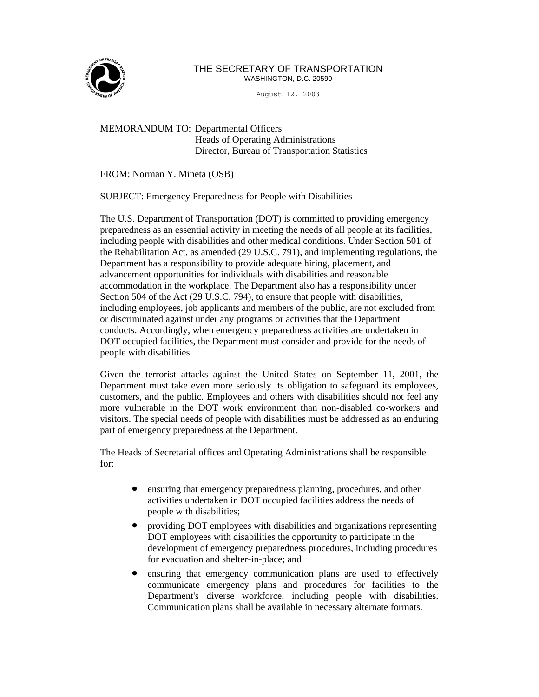

## THE SECRETARY OF TRANSPORTATION WASHINGTON, D.C. 20590

August 12, 2003

MEMORANDUM TO: Departmental Officers Heads of Operating Administrations Director, Bureau of Transportation Statistics

FROM: Norman Y. Mineta (OSB)

SUBJECT: Emergency Preparedness for People with Disabilities

The U.S. Department of Transportation (DOT) is committed to providing emergency preparedness as an essential activity in meeting the needs of all people at its facilities, including people with disabilities and other medical conditions. Under Section 501 of the Rehabilitation Act, as amended (29 U.S.C. 791), and implementing regulations, the Department has a responsibility to provide adequate hiring, placement, and advancement opportunities for individuals with disabilities and reasonable accommodation in the workplace. The Department also has a responsibility under Section 504 of the Act (29 U.S.C. 794), to ensure that people with disabilities, including employees, job applicants and members of the public, are not excluded from or discriminated against under any programs or activities that the Department conducts. Accordingly, when emergency preparedness activities are undertaken in DOT occupied facilities, the Department must consider and provide for the needs of people with disabilities.

Given the terrorist attacks against the United States on September 11, 2001, the Department must take even more seriously its obligation to safeguard its employees, customers, and the public. Employees and others with disabilities should not feel any more vulnerable in the DOT work environment than non-disabled co-workers and visitors. The special needs of people with disabilities must be addressed as an enduring part of emergency preparedness at the Department.

The Heads of Secretarial offices and Operating Administrations shall be responsible for:

- ensuring that emergency preparedness planning, procedures, and other activities undertaken in DOT occupied facilities address the needs of people with disabilities;
- providing DOT employees with disabilities and organizations representing DOT employees with disabilities the opportunity to participate in the development of emergency preparedness procedures, including procedures for evacuation and shelter-in-place; and
- ensuring that emergency communication plans are used to effectively communicate emergency plans and procedures for facilities to the Department's diverse workforce, including people with disabilities. Communication plans shall be available in necessary alternate formats.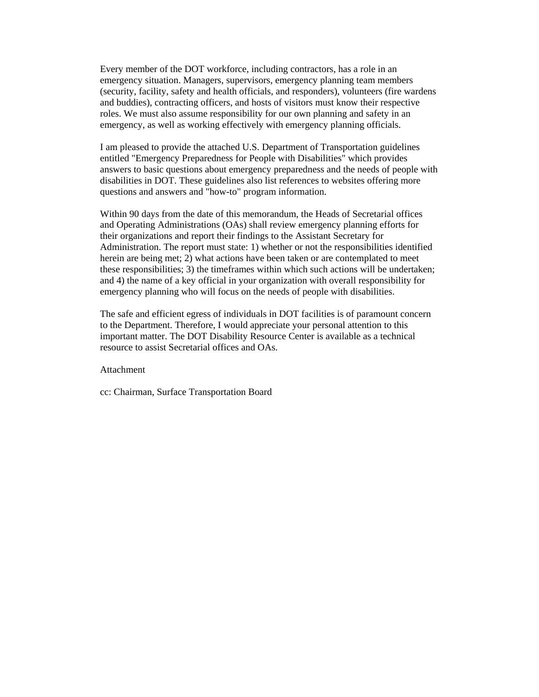Every member of the DOT workforce, including contractors, has a role in an emergency situation. Managers, supervisors, emergency planning team members (security, facility, safety and health officials, and responders), volunteers (fire wardens and buddies), contracting officers, and hosts of visitors must know their respective roles. We must also assume responsibility for our own planning and safety in an emergency, as well as working effectively with emergency planning officials.

I am pleased to provide the attached U.S. Department of Transportation guidelines entitled "Emergency Preparedness for People with Disabilities" which provides answers to basic questions about emergency preparedness and the needs of people with disabilities in DOT. These guidelines also list references to websites offering more questions and answers and "how-to" program information.

Within 90 days from the date of this memorandum, the Heads of Secretarial offices and Operating Administrations (OAs) shall review emergency planning efforts for their organizations and report their findings to the Assistant Secretary for Administration. The report must state: 1) whether or not the responsibilities identified herein are being met; 2) what actions have been taken or are contemplated to meet these responsibilities; 3) the timeframes within which such actions will be undertaken; and 4) the name of a key official in your organization with overall responsibility for emergency planning who will focus on the needs of people with disabilities.

The safe and efficient egress of individuals in DOT facilities is of paramount concern to the Department. Therefore, I would appreciate your personal attention to this important matter. The DOT Disability Resource Center is available as a technical resource to assist Secretarial offices and OAs.

### Attachment

cc: Chairman, Surface Transportation Board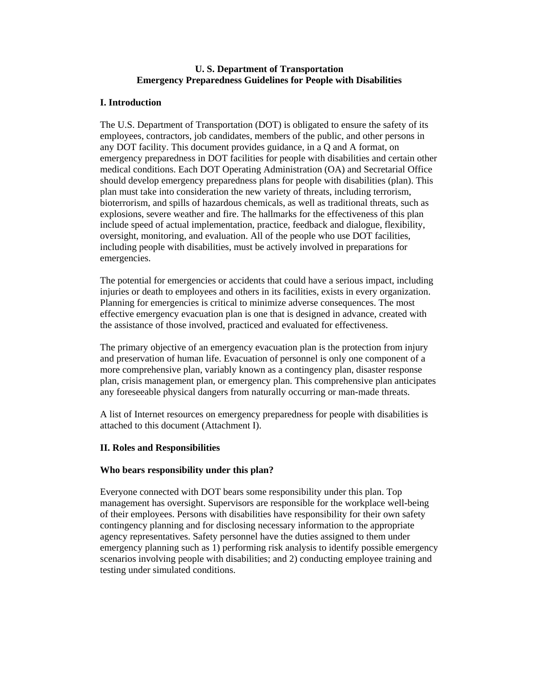## **U. S. Department of Transportation Emergency Preparedness Guidelines for People with Disabilities**

## **I. Introduction**

The U.S. Department of Transportation (DOT) is obligated to ensure the safety of its employees, contractors, job candidates, members of the public, and other persons in any DOT facility. This document provides guidance, in a Q and A format, on emergency preparedness in DOT facilities for people with disabilities and certain other medical conditions. Each DOT Operating Administration (OA) and Secretarial Office should develop emergency preparedness plans for people with disabilities (plan). This plan must take into consideration the new variety of threats, including terrorism, bioterrorism, and spills of hazardous chemicals, as well as traditional threats, such as explosions, severe weather and fire. The hallmarks for the effectiveness of this plan include speed of actual implementation, practice, feedback and dialogue, flexibility, oversight, monitoring, and evaluation. All of the people who use DOT facilities, including people with disabilities, must be actively involved in preparations for emergencies.

The potential for emergencies or accidents that could have a serious impact, including injuries or death to employees and others in its facilities, exists in every organization. Planning for emergencies is critical to minimize adverse consequences. The most effective emergency evacuation plan is one that is designed in advance, created with the assistance of those involved, practiced and evaluated for effectiveness.

The primary objective of an emergency evacuation plan is the protection from injury and preservation of human life. Evacuation of personnel is only one component of a more comprehensive plan, variably known as a contingency plan, disaster response plan, crisis management plan, or emergency plan. This comprehensive plan anticipates any foreseeable physical dangers from naturally occurring or man-made threats.

A list of Internet resources on emergency preparedness for people with disabilities is attached to this document (Attachment I).

## **II. Roles and Responsibilities**

## **Who bears responsibility under this plan?**

Everyone connected with DOT bears some responsibility under this plan. Top management has oversight. Supervisors are responsible for the workplace well-being of their employees. Persons with disabilities have responsibility for their own safety contingency planning and for disclosing necessary information to the appropriate agency representatives. Safety personnel have the duties assigned to them under emergency planning such as 1) performing risk analysis to identify possible emergency scenarios involving people with disabilities; and 2) conducting employee training and testing under simulated conditions.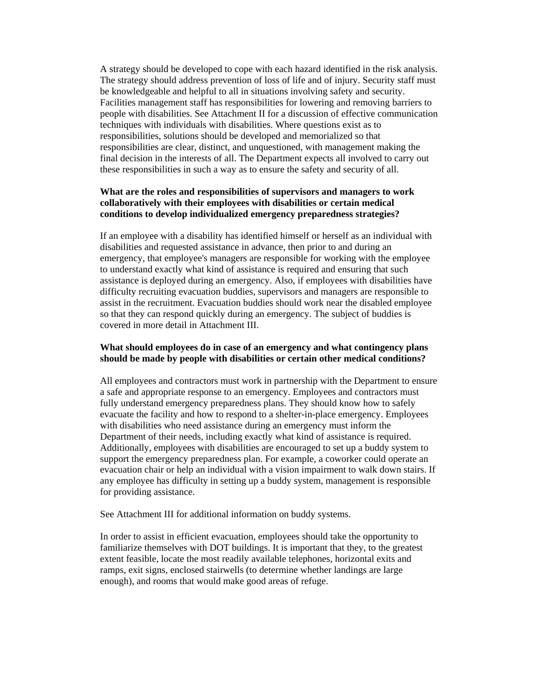A strategy should be developed to cope with each hazard identified in the risk analysis. The strategy should address prevention of loss of life and of injury. Security staff must be knowledgeable and helpful to all in situations involving safety and security. Facilities management staff has responsibilities for lowering and removing barriers to people with disabilities. See Attachment II for a discussion of effective communication techniques with individuals with disabilities. Where questions exist as to responsibilities, solutions should be developed and memorialized so that responsibilities are clear, distinct, and unquestioned, with management making the final decision in the interests of all. The Department expects all involved to carry out these responsibilities in such a way as to ensure the safety and security of all.

## **What are the roles and responsibilities of supervisors and managers to work collaboratively with their employees with disabilities or certain medical conditions to develop individualized emergency preparedness strategies?**

If an employee with a disability has identified himself or herself as an individual with disabilities and requested assistance in advance, then prior to and during an emergency, that employee's managers are responsible for working with the employee to understand exactly what kind of assistance is required and ensuring that such assistance is deployed during an emergency. Also, if employees with disabilities have difficulty recruiting evacuation buddies, supervisors and managers are responsible to assist in the recruitment. Evacuation buddies should work near the disabled employee so that they can respond quickly during an emergency. The subject of buddies is covered in more detail in Attachment III.

## **What should employees do in case of an emergency and what contingency plans should be made by people with disabilities or certain other medical conditions?**

All employees and contractors must work in partnership with the Department to ensure a safe and appropriate response to an emergency. Employees and contractors must fully understand emergency preparedness plans. They should know how to safely evacuate the facility and how to respond to a shelter-in-place emergency. Employees with disabilities who need assistance during an emergency must inform the Department of their needs, including exactly what kind of assistance is required. Additionally, employees with disabilities are encouraged to set up a buddy system to support the emergency preparedness plan. For example, a coworker could operate an evacuation chair or help an individual with a vision impairment to walk down stairs. If any employee has difficulty in setting up a buddy system, management is responsible for providing assistance.

See Attachment III for additional information on buddy systems.

In order to assist in efficient evacuation, employees should take the opportunity to familiarize themselves with DOT buildings. It is important that they, to the greatest extent feasible, locate the most readily available telephones, horizontal exits and ramps, exit signs, enclosed stairwells (to determine whether landings are large enough), and rooms that would make good areas of refuge.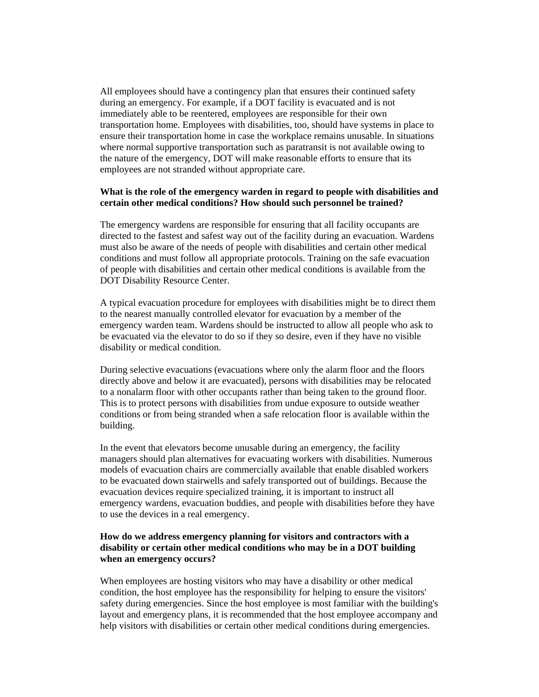All employees should have a contingency plan that ensures their continued safety during an emergency. For example, if a DOT facility is evacuated and is not immediately able to be reentered, employees are responsible for their own transportation home. Employees with disabilities, too, should have systems in place to ensure their transportation home in case the workplace remains unusable. In situations where normal supportive transportation such as paratransit is not available owing to the nature of the emergency, DOT will make reasonable efforts to ensure that its employees are not stranded without appropriate care.

## **What is the role of the emergency warden in regard to people with disabilities and certain other medical conditions? How should such personnel be trained?**

The emergency wardens are responsible for ensuring that all facility occupants are directed to the fastest and safest way out of the facility during an evacuation. Wardens must also be aware of the needs of people with disabilities and certain other medical conditions and must follow all appropriate protocols. Training on the safe evacuation of people with disabilities and certain other medical conditions is available from the DOT Disability Resource Center.

A typical evacuation procedure for employees with disabilities might be to direct them to the nearest manually controlled elevator for evacuation by a member of the emergency warden team. Wardens should be instructed to allow all people who ask to be evacuated via the elevator to do so if they so desire, even if they have no visible disability or medical condition.

During selective evacuations (evacuations where only the alarm floor and the floors directly above and below it are evacuated), persons with disabilities may be relocated to a nonalarm floor with other occupants rather than being taken to the ground floor. This is to protect persons with disabilities from undue exposure to outside weather conditions or from being stranded when a safe relocation floor is available within the building.

In the event that elevators become unusable during an emergency, the facility managers should plan alternatives for evacuating workers with disabilities. Numerous models of evacuation chairs are commercially available that enable disabled workers to be evacuated down stairwells and safely transported out of buildings. Because the evacuation devices require specialized training, it is important to instruct all emergency wardens, evacuation buddies, and people with disabilities before they have to use the devices in a real emergency.

## **How do we address emergency planning for visitors and contractors with a disability or certain other medical conditions who may be in a DOT building when an emergency occurs?**

When employees are hosting visitors who may have a disability or other medical condition, the host employee has the responsibility for helping to ensure the visitors' safety during emergencies. Since the host employee is most familiar with the building's layout and emergency plans, it is recommended that the host employee accompany and help visitors with disabilities or certain other medical conditions during emergencies.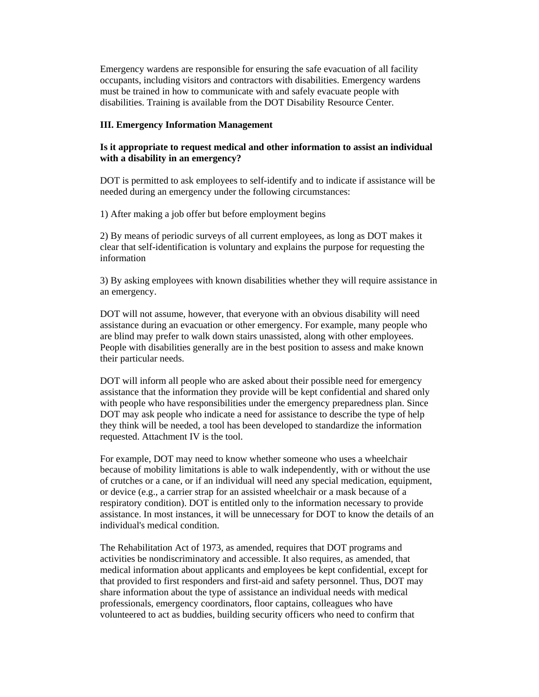Emergency wardens are responsible for ensuring the safe evacuation of all facility occupants, including visitors and contractors with disabilities. Emergency wardens must be trained in how to communicate with and safely evacuate people with disabilities. Training is available from the DOT Disability Resource Center.

### **III. Emergency Information Management**

## **Is it appropriate to request medical and other information to assist an individual with a disability in an emergency?**

DOT is permitted to ask employees to self-identify and to indicate if assistance will be needed during an emergency under the following circumstances:

1) After making a job offer but before employment begins

2) By means of periodic surveys of all current employees, as long as DOT makes it clear that self-identification is voluntary and explains the purpose for requesting the information

3) By asking employees with known disabilities whether they will require assistance in an emergency.

DOT will not assume, however, that everyone with an obvious disability will need assistance during an evacuation or other emergency. For example, many people who are blind may prefer to walk down stairs unassisted, along with other employees. People with disabilities generally are in the best position to assess and make known their particular needs.

DOT will inform all people who are asked about their possible need for emergency assistance that the information they provide will be kept confidential and shared only with people who have responsibilities under the emergency preparedness plan. Since DOT may ask people who indicate a need for assistance to describe the type of help they think will be needed, a tool has been developed to standardize the information requested. Attachment IV is the tool.

For example, DOT may need to know whether someone who uses a wheelchair because of mobility limitations is able to walk independently, with or without the use of crutches or a cane, or if an individual will need any special medication, equipment, or device (e.g., a carrier strap for an assisted wheelchair or a mask because of a respiratory condition). DOT is entitled only to the information necessary to provide assistance. In most instances, it will be unnecessary for DOT to know the details of an individual's medical condition.

The Rehabilitation Act of 1973, as amended, requires that DOT programs and activities be nondiscriminatory and accessible. It also requires, as amended, that medical information about applicants and employees be kept confidential, except for that provided to first responders and first-aid and safety personnel. Thus, DOT may share information about the type of assistance an individual needs with medical professionals, emergency coordinators, floor captains, colleagues who have volunteered to act as buddies, building security officers who need to confirm that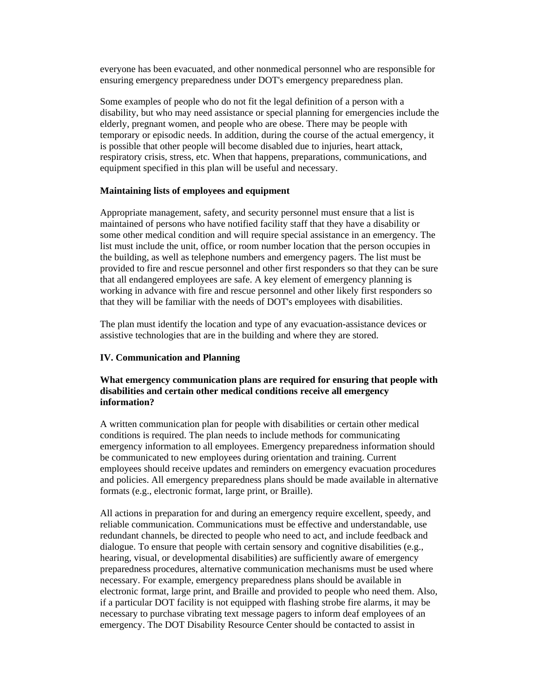everyone has been evacuated, and other nonmedical personnel who are responsible for ensuring emergency preparedness under DOT's emergency preparedness plan.

Some examples of people who do not fit the legal definition of a person with a disability, but who may need assistance or special planning for emergencies include the elderly, pregnant women, and people who are obese. There may be people with temporary or episodic needs. In addition, during the course of the actual emergency, it is possible that other people will become disabled due to injuries, heart attack, respiratory crisis, stress, etc. When that happens, preparations, communications, and equipment specified in this plan will be useful and necessary.

### **Maintaining lists of employees and equipment**

Appropriate management, safety, and security personnel must ensure that a list is maintained of persons who have notified facility staff that they have a disability or some other medical condition and will require special assistance in an emergency. The list must include the unit, office, or room number location that the person occupies in the building, as well as telephone numbers and emergency pagers. The list must be provided to fire and rescue personnel and other first responders so that they can be sure that all endangered employees are safe. A key element of emergency planning is working in advance with fire and rescue personnel and other likely first responders so that they will be familiar with the needs of DOT's employees with disabilities.

The plan must identify the location and type of any evacuation-assistance devices or assistive technologies that are in the building and where they are stored.

### **IV. Communication and Planning**

## **What emergency communication plans are required for ensuring that people with disabilities and certain other medical conditions receive all emergency information?**

A written communication plan for people with disabilities or certain other medical conditions is required. The plan needs to include methods for communicating emergency information to all employees. Emergency preparedness information should be communicated to new employees during orientation and training. Current employees should receive updates and reminders on emergency evacuation procedures and policies. All emergency preparedness plans should be made available in alternative formats (e.g., electronic format, large print, or Braille).

All actions in preparation for and during an emergency require excellent, speedy, and reliable communication. Communications must be effective and understandable, use redundant channels, be directed to people who need to act, and include feedback and dialogue. To ensure that people with certain sensory and cognitive disabilities (e.g., hearing, visual, or developmental disabilities) are sufficiently aware of emergency preparedness procedures, alternative communication mechanisms must be used where necessary. For example, emergency preparedness plans should be available in electronic format, large print, and Braille and provided to people who need them. Also, if a particular DOT facility is not equipped with flashing strobe fire alarms, it may be necessary to purchase vibrating text message pagers to inform deaf employees of an emergency. The DOT Disability Resource Center should be contacted to assist in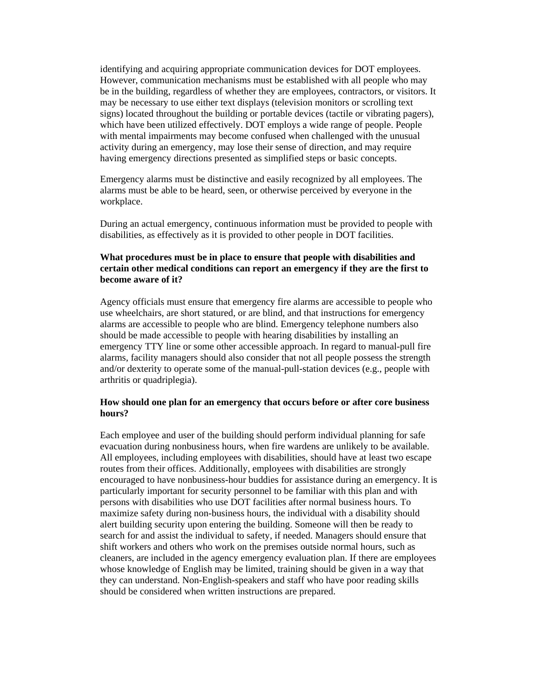identifying and acquiring appropriate communication devices for DOT employees. However, communication mechanisms must be established with all people who may be in the building, regardless of whether they are employees, contractors, or visitors. It may be necessary to use either text displays (television monitors or scrolling text signs) located throughout the building or portable devices (tactile or vibrating pagers), which have been utilized effectively. DOT employs a wide range of people. People with mental impairments may become confused when challenged with the unusual activity during an emergency, may lose their sense of direction, and may require having emergency directions presented as simplified steps or basic concepts.

Emergency alarms must be distinctive and easily recognized by all employees. The alarms must be able to be heard, seen, or otherwise perceived by everyone in the workplace.

During an actual emergency, continuous information must be provided to people with disabilities, as effectively as it is provided to other people in DOT facilities.

## **What procedures must be in place to ensure that people with disabilities and certain other medical conditions can report an emergency if they are the first to become aware of it?**

Agency officials must ensure that emergency fire alarms are accessible to people who use wheelchairs, are short statured, or are blind, and that instructions for emergency alarms are accessible to people who are blind. Emergency telephone numbers also should be made accessible to people with hearing disabilities by installing an emergency TTY line or some other accessible approach. In regard to manual-pull fire alarms, facility managers should also consider that not all people possess the strength and/or dexterity to operate some of the manual-pull-station devices (e.g., people with arthritis or quadriplegia).

## **How should one plan for an emergency that occurs before or after core business hours?**

Each employee and user of the building should perform individual planning for safe evacuation during nonbusiness hours, when fire wardens are unlikely to be available. All employees, including employees with disabilities, should have at least two escape routes from their offices. Additionally, employees with disabilities are strongly encouraged to have nonbusiness-hour buddies for assistance during an emergency. It is particularly important for security personnel to be familiar with this plan and with persons with disabilities who use DOT facilities after normal business hours. To maximize safety during non-business hours, the individual with a disability should alert building security upon entering the building. Someone will then be ready to search for and assist the individual to safety, if needed. Managers should ensure that shift workers and others who work on the premises outside normal hours, such as cleaners, are included in the agency emergency evaluation plan. If there are employees whose knowledge of English may be limited, training should be given in a way that they can understand. Non-English-speakers and staff who have poor reading skills should be considered when written instructions are prepared.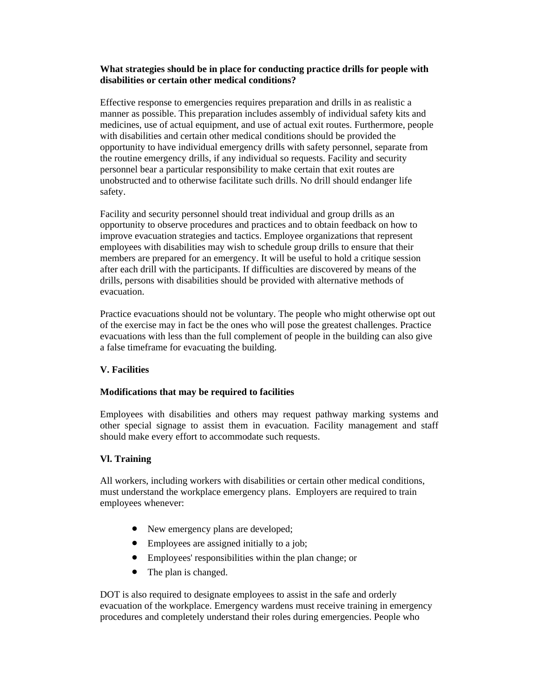## **What strategies should be in place for conducting practice drills for people with disabilities or certain other medical conditions?**

Effective response to emergencies requires preparation and drills in as realistic a manner as possible. This preparation includes assembly of individual safety kits and medicines, use of actual equipment, and use of actual exit routes. Furthermore, people with disabilities and certain other medical conditions should be provided the opportunity to have individual emergency drills with safety personnel, separate from the routine emergency drills, if any individual so requests. Facility and security personnel bear a particular responsibility to make certain that exit routes are unobstructed and to otherwise facilitate such drills. No drill should endanger life safety.

Facility and security personnel should treat individual and group drills as an opportunity to observe procedures and practices and to obtain feedback on how to improve evacuation strategies and tactics. Employee organizations that represent employees with disabilities may wish to schedule group drills to ensure that their members are prepared for an emergency. It will be useful to hold a critique session after each drill with the participants. If difficulties are discovered by means of the drills, persons with disabilities should be provided with alternative methods of evacuation.

Practice evacuations should not be voluntary. The people who might otherwise opt out of the exercise may in fact be the ones who will pose the greatest challenges. Practice evacuations with less than the full complement of people in the building can also give a false timeframe for evacuating the building.

## **V. Facilities**

## **Modifications that may be required to facilities**

Employees with disabilities and others may request pathway marking systems and other special signage to assist them in evacuation. Facility management and staff should make every effort to accommodate such requests.

## **Vl. Training**

All workers, including workers with disabilities or certain other medical conditions, must understand the workplace emergency plans. Employers are required to train employees whenever:

- New emergency plans are developed;
- Employees are assigned initially to a job;
- Employees' responsibilities within the plan change; or
- The plan is changed.

DOT is also required to designate employees to assist in the safe and orderly evacuation of the workplace. Emergency wardens must receive training in emergency procedures and completely understand their roles during emergencies. People who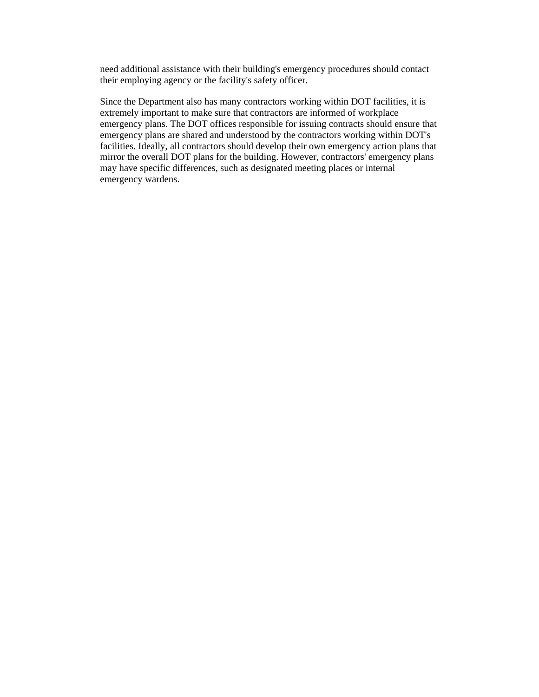need additional assistance with their building's emergency procedures should contact their employing agency or the facility's safety officer.

Since the Department also has many contractors working within DOT facilities, it is extremely important to make sure that contractors are informed of workplace emergency plans. The DOT offices responsible for issuing contracts should ensure that emergency plans are shared and understood by the contractors working within DOT's facilities. Ideally, all contractors should develop their own emergency action plans that mirror the overall DOT plans for the building. However, contractors' emergency plans may have specific differences, such as designated meeting places or internal emergency wardens.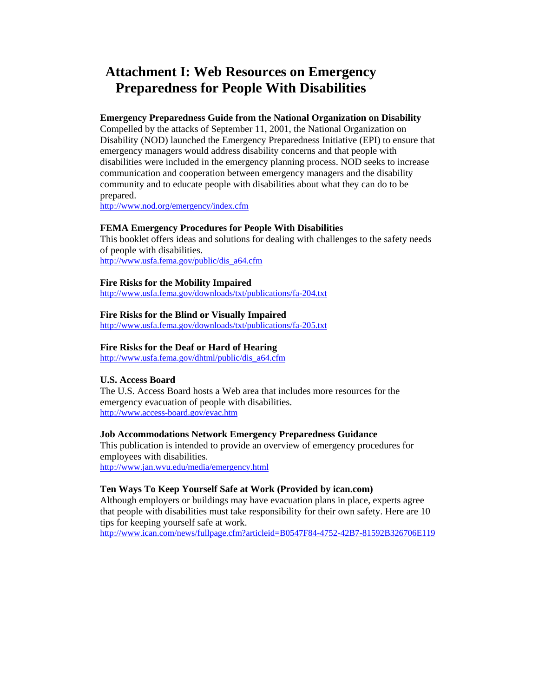## **Attachment I: Web Resources on Emergency Preparedness for People With Disabilities**

## **Emergency Preparedness Guide from the National Organization on Disability**

Compelled by the attacks of September 11, 2001, the National Organization on Disability (NOD) launched the Emergency Preparedness Initiative (EPI) to ensure that emergency managers would address disability concerns and that people with disabilities were included in the emergency planning process. NOD seeks to increase communication and cooperation between emergency managers and the disability community and to educate people with disabilities about what they can do to be prepared.

http://www.nod.org/emergency/index.cfm

## **FEMA Emergency Procedures for People With Disabilities**

This booklet offers ideas and solutions for dealing with challenges to the safety needs of people with disabilities. http://www.usfa.fema.gov/public/dis\_a64.cfm

### **Fire Risks for the Mobility Impaired**

http://www.usfa.fema.gov/downloads/txt/publications/fa-204.txt

### **Fire Risks for the Blind or Visually Impaired**

http://www.usfa.fema.gov/downloads/txt/publications/fa-205.txt

### **Fire Risks for the Deaf or Hard of Hearing**

http://www.usfa.fema.gov/dhtml/public/dis\_a64.cfm

### **U.S. Access Board**

The U.S. Access Board hosts a Web area that includes more resources for the emergency evacuation of people with disabilities. http://www.access-board.gov/evac.htm

#### **Job Accommodations Network Emergency Preparedness Guidance**

This publication is intended to provide an overview of emergency procedures for employees with disabilities. http://www.jan.wvu.edu/media/emergency.html

### **Ten Ways To Keep Yourself Safe at Work (Provided by ican.com)**

Although employers or buildings may have evacuation plans in place, experts agree that people with disabilities must take responsibility for their own safety. Here are 10 tips for keeping yourself safe at work.

http://www.ican.com/news/fullpage.cfm?articleid=B0547F84-4752-42B7-81592B326706E119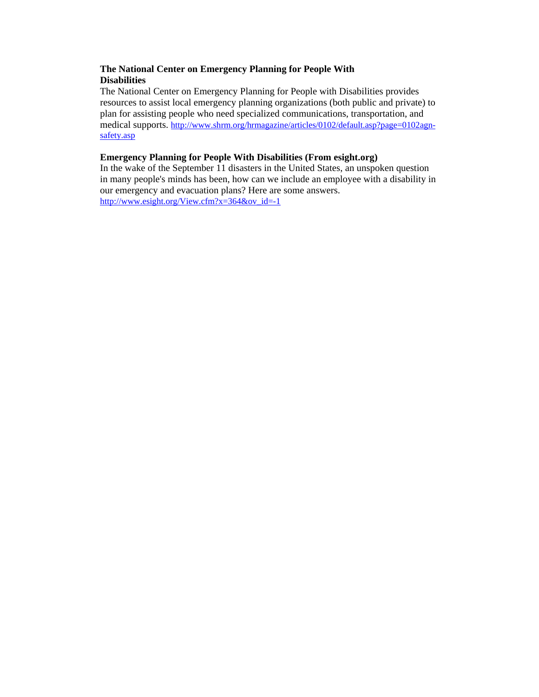## **The National Center on Emergency Planning for People With Disabilities**

The National Center on Emergency Planning for People with Disabilities provides resources to assist local emergency planning organizations (both public and private) to plan for assisting people who need specialized communications, transportation, and medical supports. http://www.shrm.org/hrmagazine/articles/0102/default.asp?page=0102agnsafety.asp

## **Emergency Planning for People With Disabilities (From esight.org)**

In the wake of the September 11 disasters in the United States, an unspoken question in many people's minds has been, how can we include an employee with a disability in our emergency and evacuation plans? Here are some answers. http://www.esight.org/View.cfm?x=364&ov\_id=-1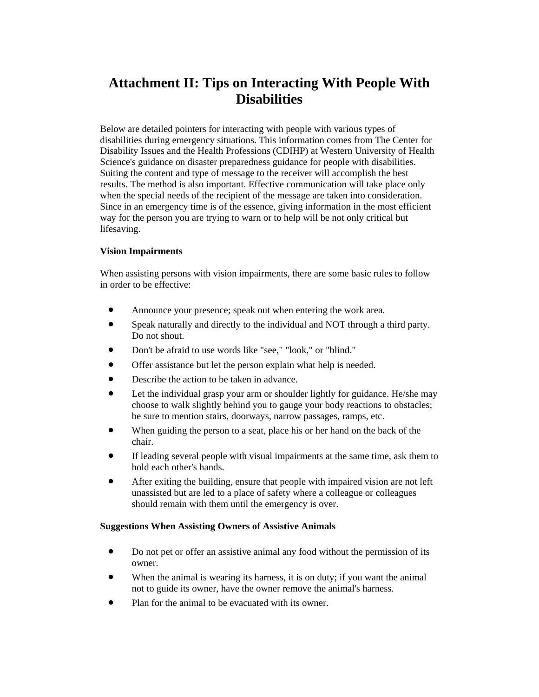# **Attachment II: Tips on Interacting With People With Disabilities**

Below are detailed pointers for interacting with people with various types of disabilities during emergency situations. This information comes from The Center for Disability Issues and the Health Professions (CDIHP) at Western University of Health Science's guidance on disaster preparedness guidance for people with disabilities. Suiting the content and type of message to the receiver will accomplish the best results. The method is also important. Effective communication will take place only when the special needs of the recipient of the message are taken into consideration. Since in an emergency time is of the essence, giving information in the most efficient way for the person you are trying to warn or to help will be not only critical but lifesaving.

## **Vision Impairments**

When assisting persons with vision impairments, there are some basic rules to follow in order to be effective:

- Announce your presence; speak out when entering the work area.
- Speak naturally and directly to the individual and NOT through a third party. Do not shout.
- Don't be afraid to use words like "see," "look," or "blind."
- Offer assistance but let the person explain what help is needed.
- Describe the action to be taken in advance.
- Let the individual grasp your arm or shoulder lightly for guidance. He/she may choose to walk slightly behind you to gauge your body reactions to obstacles; be sure to mention stairs, doorways, narrow passages, ramps, etc.
- When guiding the person to a seat, place his or her hand on the back of the chair.
- If leading several people with visual impairments at the same time, ask them to hold each other's hands.
- After exiting the building, ensure that people with impaired vision are not left unassisted but are led to a place of safety where a colleague or colleagues should remain with them until the emergency is over.

### **Suggestions When Assisting Owners of Assistive Animals**

- Do not pet or offer an assistive animal any food without the permission of its owner.
- When the animal is wearing its harness, it is on duty; if you want the animal not to guide its owner, have the owner remove the animal's harness.
- Plan for the animal to be evacuated with its owner.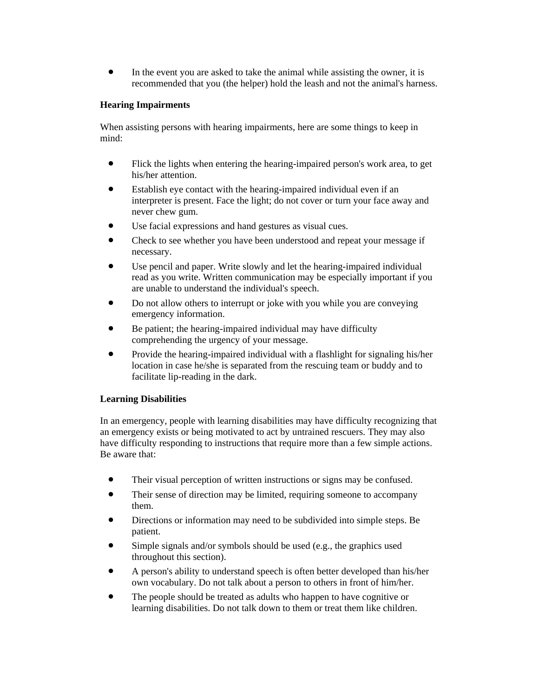• In the event you are asked to take the animal while assisting the owner, it is recommended that you (the helper) hold the leash and not the animal's harness.

## **Hearing Impairments**

When assisting persons with hearing impairments, here are some things to keep in mind:

- Flick the lights when entering the hearing-impaired person's work area, to get his/her attention.
- Establish eye contact with the hearing-impaired individual even if an interpreter is present. Face the light; do not cover or turn your face away and never chew gum.
- Use facial expressions and hand gestures as visual cues.
- Check to see whether you have been understood and repeat your message if necessary.
- Use pencil and paper. Write slowly and let the hearing-impaired individual read as you write. Written communication may be especially important if you are unable to understand the individual's speech.
- Do not allow others to interrupt or joke with you while you are conveying emergency information.
- Be patient; the hearing-impaired individual may have difficulty comprehending the urgency of your message.
- Provide the hearing-impaired individual with a flashlight for signaling his/her location in case he/she is separated from the rescuing team or buddy and to facilitate lip-reading in the dark.

## **Learning Disabilities**

In an emergency, people with learning disabilities may have difficulty recognizing that an emergency exists or being motivated to act by untrained rescuers. They may also have difficulty responding to instructions that require more than a few simple actions. Be aware that:

- Their visual perception of written instructions or signs may be confused.
- Their sense of direction may be limited, requiring someone to accompany them.
- Directions or information may need to be subdivided into simple steps. Be patient.
- Simple signals and/or symbols should be used (e.g., the graphics used throughout this section).
- A person's ability to understand speech is often better developed than his/her own vocabulary. Do not talk about a person to others in front of him/her.
- The people should be treated as adults who happen to have cognitive or learning disabilities. Do not talk down to them or treat them like children.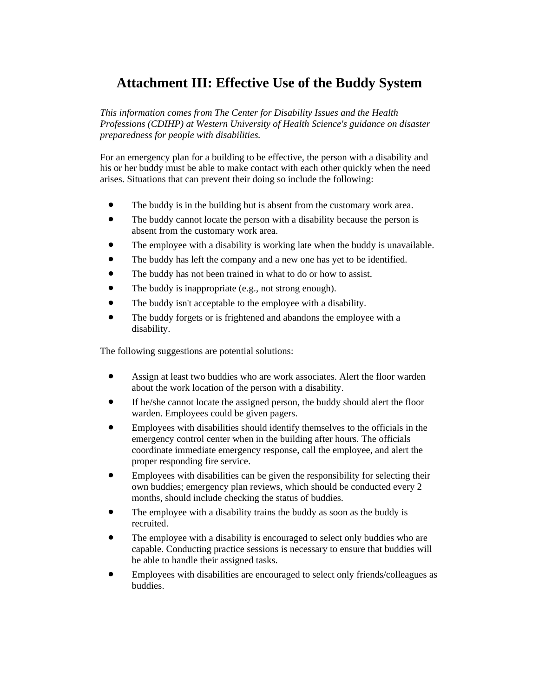# **Attachment III: Effective Use of the Buddy System**

*This information comes from The Center for Disability Issues and the Health Professions (CDIHP) at Western University of Health Science's guidance on disaster preparedness for people with disabilities.* 

For an emergency plan for a building to be effective, the person with a disability and his or her buddy must be able to make contact with each other quickly when the need arises. Situations that can prevent their doing so include the following:

- The buddy is in the building but is absent from the customary work area.
- The buddy cannot locate the person with a disability because the person is absent from the customary work area.
- The employee with a disability is working late when the buddy is unavailable.
- The buddy has left the company and a new one has yet to be identified.
- The buddy has not been trained in what to do or how to assist.
- The buddy is inappropriate (e.g., not strong enough).
- The buddy isn't acceptable to the employee with a disability.
- The buddy forgets or is frightened and abandons the employee with a disability.

The following suggestions are potential solutions:

- Assign at least two buddies who are work associates. Alert the floor warden about the work location of the person with a disability.
- If he/she cannot locate the assigned person, the buddy should alert the floor warden. Employees could be given pagers.
- Employees with disabilities should identify themselves to the officials in the emergency control center when in the building after hours. The officials coordinate immediate emergency response, call the employee, and alert the proper responding fire service.
- Employees with disabilities can be given the responsibility for selecting their own buddies; emergency plan reviews, which should be conducted every 2 months, should include checking the status of buddies.
- The employee with a disability trains the buddy as soon as the buddy is recruited.
- The employee with a disability is encouraged to select only buddies who are capable. Conducting practice sessions is necessary to ensure that buddies will be able to handle their assigned tasks.
- Employees with disabilities are encouraged to select only friends/colleagues as buddies.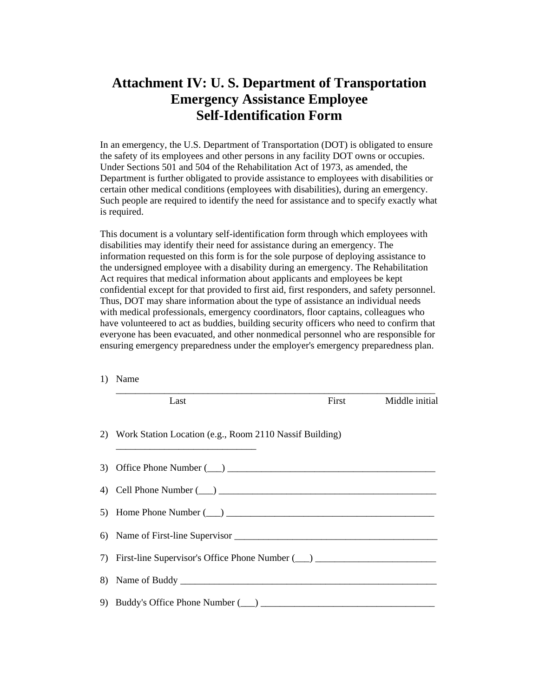# **Attachment IV: U. S. Department of Transportation Emergency Assistance Employee Self-Identification Form**

In an emergency, the U.S. Department of Transportation (DOT) is obligated to ensure the safety of its employees and other persons in any facility DOT owns or occupies. Under Sections 501 and 504 of the Rehabilitation Act of 1973, as amended, the Department is further obligated to provide assistance to employees with disabilities or certain other medical conditions (employees with disabilities), during an emergency. Such people are required to identify the need for assistance and to specify exactly what is required.

This document is a voluntary self-identification form through which employees with disabilities may identify their need for assistance during an emergency. The information requested on this form is for the sole purpose of deploying assistance to the undersigned employee with a disability during an emergency. The Rehabilitation Act requires that medical information about applicants and employees be kept confidential except for that provided to first aid, first responders, and safety personnel. Thus, DOT may share information about the type of assistance an individual needs with medical professionals, emergency coordinators, floor captains, colleagues who have volunteered to act as buddies, building security officers who need to confirm that everyone has been evacuated, and other nonmedical personnel who are responsible for ensuring emergency preparedness under the employer's emergency preparedness plan.

1) Name

| Last                                                                                                                                                                                                                           | First | Middle initial |
|--------------------------------------------------------------------------------------------------------------------------------------------------------------------------------------------------------------------------------|-------|----------------|
| 2) Work Station Location (e.g., Room 2110 Nassif Building)<br><u> 1989 - Johann John Stein, fransk politik (f. 1989)</u>                                                                                                       |       |                |
|                                                                                                                                                                                                                                |       |                |
| 4) Cell Phone Number (2012) 2012 12:00 12:00 12:00 12:00 12:00 12:00 12:00 12:00 12:00 12:00 12:00 12:00 12:00 12:00 12:00 12:00 12:00 12:00 12:00 12:00 12:00 12:00 12:00 12:00 12:00 12:00 12:00 12:00 12:00 12:00 12:00 12: |       |                |
| 5) Home Phone Number $(\_\_)$                                                                                                                                                                                                  |       |                |
|                                                                                                                                                                                                                                |       |                |
| 7) First-line Supervisor's Office Phone Number (1) 2014 1991 1992                                                                                                                                                              |       |                |
|                                                                                                                                                                                                                                |       |                |
| 9) Buddy's Office Phone Number (2014) 2014 19:20 19:20                                                                                                                                                                         |       |                |